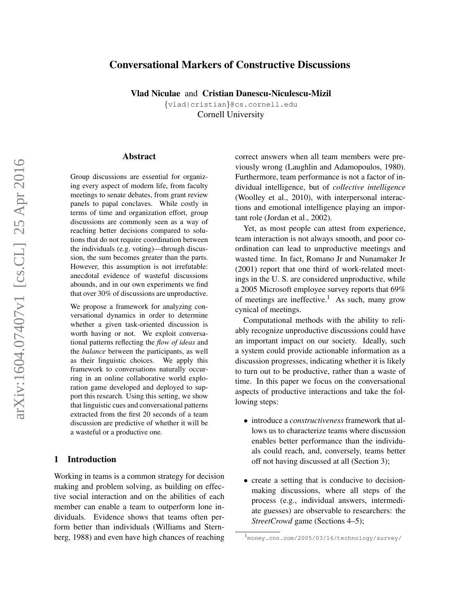# Conversational Markers of Constructive Discussions

Vlad Niculae and Cristian Danescu-Niculescu-Mizil

{vlad|cristian}@cs.cornell.edu Cornell University

#### Abstract

Group discussions are essential for organizing every aspect of modern life, from faculty meetings to senate debates, from grant review panels to papal conclaves. While costly in terms of time and organization effort, group discussions are commonly seen as a way of reaching better decisions compared to solutions that do not require coordination between the individuals (e.g. voting)—through discussion, the sum becomes greater than the parts. However, this assumption is not irrefutable: anecdotal evidence of wasteful discussions abounds, and in our own experiments we find that over 30% of discussions are unproductive.

We propose a framework for analyzing conversational dynamics in order to determine whether a given task-oriented discussion is worth having or not. We exploit conversational patterns reflecting the *flow of ideas* and the *balance* between the participants, as well as their linguistic choices. We apply this framework to conversations naturally occurring in an online collaborative world exploration game developed and deployed to support this research. Using this setting, we show that linguistic cues and conversational patterns extracted from the first 20 seconds of a team discussion are predictive of whether it will be a wasteful or a productive one.

#### 1 Introduction

Working in teams is a common strategy for decision making and problem solving, as building on effective social interaction and on the abilities of each member can enable a team to outperform lone individuals. Evidence shows that teams often perform better than individuals (Williams and Sternberg, 1988) and even have high chances of reaching correct answers when all team members were previously wrong (Laughlin and Adamopoulos, 1980). Furthermore, team performance is not a factor of individual intelligence, but of *collective intelligence* (Woolley et al., 2010), with interpersonal interactions and emotional intelligence playing an important role (Jordan et al., 2002).

Yet, as most people can attest from experience, team interaction is not always smooth, and poor coordination can lead to unproductive meetings and wasted time. In fact, Romano Jr and Nunamaker Jr (2001) report that one third of work-related meetings in the U. S. are considered unproductive, while a 2005 Microsoft employee survey reports that 69% of meetings are ineffective.<sup>1</sup> As such, many grow cynical of meetings.

Computational methods with the ability to reliably recognize unproductive discussions could have an important impact on our society. Ideally, such a system could provide actionable information as a discussion progresses, indicating whether it is likely to turn out to be productive, rather than a waste of time. In this paper we focus on the conversational aspects of productive interactions and take the following steps:

- introduce a *constructiveness* framework that allows us to characterize teams where discussion enables better performance than the individuals could reach, and, conversely, teams better off not having discussed at all (Section 3);
- create a setting that is conducive to decisionmaking discussions, where all steps of the process (e.g., individual answers, intermediate guesses) are observable to researchers: the *StreetCrowd* game (Sections 4–5);

<sup>1</sup> money.cnn.com/2005/03/16/technology/survey/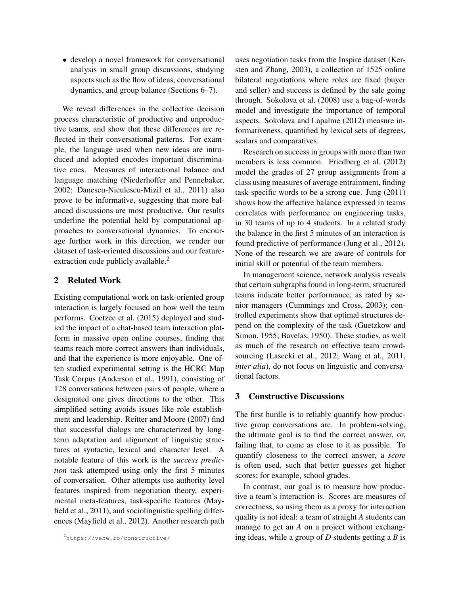• develop a novel framework for conversational analysis in small group discussions, studying aspects such as the flow of ideas, conversational dynamics, and group balance (Sections 6–7).

We reveal differences in the collective decision process characteristic of productive and unproductive teams, and show that these differences are reflected in their conversational patterns. For example, the language used when new ideas are introduced and adopted encodes important discriminative cues. Measures of interactional balance and language matching (Niederhoffer and Pennebaker, 2002; Danescu-Niculescu-Mizil et al., 2011) also prove to be informative, suggesting that more balanced discussions are most productive. Our results underline the potential held by computational approaches to conversational dynamics. To encourage further work in this direction, we render our dataset of task-oriented discussions and our featureextraction code publicly available.<sup>2</sup>

## 2 Related Work

Existing computational work on task-oriented group interaction is largely focused on how well the team performs. Coetzee et al. (2015) deployed and studied the impact of a chat-based team interaction platform in massive open online courses, finding that teams reach more correct answers than individuals, and that the experience is more enjoyable. One often studied experimental setting is the HCRC Map Task Corpus (Anderson et al., 1991), consisting of 128 conversations between pairs of people, where a designated one gives directions to the other. This simplified setting avoids issues like role establishment and leadership. Reitter and Moore (2007) find that successful dialogs are characterized by longterm adaptation and alignment of linguistic structures at syntactic, lexical and character level. A notable feature of this work is the *success prediction* task attempted using only the first 5 minutes of conversation. Other attempts use authority level features inspired from negotiation theory, experimental meta-features, task-specific features (Mayfield et al., 2011), and sociolinguistic spelling differences (Mayfield et al., 2012). Another research path

uses negotiation tasks from the Inspire dataset (Kersten and Zhang, 2003), a collection of 1525 online bilateral negotiations where roles are fixed (buyer and seller) and success is defined by the sale going through. Sokolova et al. (2008) use a bag-of-words model and investigate the importance of temporal aspects. Sokolova and Lapalme (2012) measure informativeness, quantified by lexical sets of degrees, scalars and comparatives.

Research on success in groups with more than two members is less common. Friedberg et al. (2012) model the grades of 27 group assignments from a class using measures of average entrainment, finding task-specific words to be a strong cue. Jung (2011) shows how the affective balance expressed in teams correlates with performance on engineering tasks, in 30 teams of up to 4 students. In a related study the balance in the first 5 minutes of an interaction is found predictive of performance (Jung et al., 2012). None of the research we are aware of controls for initial skill or potential of the team members.

In management science, network analysis reveals that certain subgraphs found in long-term, structured teams indicate better performance, as rated by senior managers (Cummings and Cross, 2003); controlled experiments show that optimal structures depend on the complexity of the task (Guetzkow and Simon, 1955; Bavelas, 1950). These studies, as well as much of the research on effective team crowdsourcing (Lasecki et al., 2012; Wang et al., 2011, *inter alia*), do not focus on linguistic and conversational factors.

## 3 Constructive Discussions

The first hurdle is to reliably quantify how productive group conversations are. In problem-solving, the ultimate goal is to find the correct answer, or, failing that, to come as close to it as possible. To quantify closeness to the correct answer, a *score* is often used, such that better guesses get higher scores; for example, school grades.

In contrast, our goal is to measure how productive a team's interaction is. Scores are measures of correctness, so using them as a proxy for interaction quality is not ideal: a team of straight *A* students can manage to get an *A* on a project without exchanging ideas, while a group of *D* students getting a *B* is

<sup>2</sup>https://vene.ro/constructive/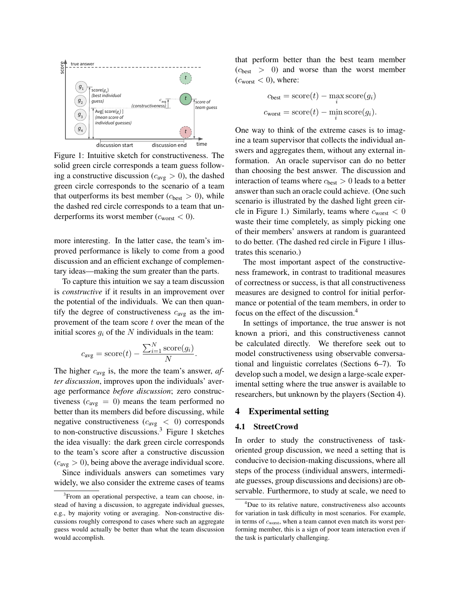

Figure 1: Intuitive sketch for constructiveness. The solid green circle corresponds a team guess following a constructive discussion ( $c_{avg} > 0$ ), the dashed green circle corresponds to the scenario of a team that outperforms its best member ( $c_{best} > 0$ ), while the dashed red circle corresponds to a team that underperforms its worst member ( $c_{\text{worst}} < 0$ ).

more interesting. In the latter case, the team's improved performance is likely to come from a good discussion and an efficient exchange of complementary ideas—making the sum greater than the parts.

To capture this intuition we say a team discussion is *constructive* if it results in an improvement over the potential of the individuals. We can then quantify the degree of constructiveness  $c_{avg}$  as the improvement of the team score  $t$  over the mean of the initial scores  $g_i$  of the N individuals in the team:

$$
c_{\text{avg}} = \text{score}(t) - \frac{\sum_{i=1}^{N} \text{score}(g_i)}{N}.
$$

The higher  $c_{avg}$  is, the more the team's answer, *after discussion*, improves upon the individuals' average performance *before discussion*; zero constructiveness ( $c_{\text{avg}} = 0$ ) means the team performed no better than its members did before discussing, while negative constructiveness ( $c_{\text{avg}} < 0$ ) corresponds to non-constructive discussions.<sup>3</sup> Figure 1 sketches the idea visually: the dark green circle corresponds to the team's score after a constructive discussion  $(c_{\text{avg}} > 0)$ , being above the average individual score.

Since individuals answers can sometimes vary widely, we also consider the extreme cases of teams that perform better than the best team member  $(c_{best} > 0)$  and worse than the worst member  $(c<sub>worst</sub> < 0)$ , where:

$$
c_{\text{best}} = \text{score}(t) - \max_{i} \text{score}(g_i)
$$

$$
c_{\text{worst}} = \text{score}(t) - \min_{i} \text{score}(g_i).
$$

One way to think of the extreme cases is to imagine a team supervisor that collects the individual answers and aggregates them, without any external information. An oracle supervisor can do no better than choosing the best answer. The discussion and interaction of teams where  $c_{best} > 0$  leads to a better answer than such an oracle could achieve. (One such scenario is illustrated by the dashed light green circle in Figure 1.) Similarly, teams where  $c_{\text{worst}} < 0$ waste their time completely, as simply picking one of their members' answers at random is guaranteed to do better. (The dashed red circle in Figure 1 illustrates this scenario.)

The most important aspect of the constructiveness framework, in contrast to traditional measures of correctness or success, is that all constructiveness measures are designed to control for initial performance or potential of the team members, in order to focus on the effect of the discussion.<sup>4</sup>

In settings of importance, the true answer is not known a priori, and this constructiveness cannot be calculated directly. We therefore seek out to model constructiveness using observable conversational and linguistic correlates (Sections 6–7). To develop such a model, we design a large-scale experimental setting where the true answer is available to researchers, but unknown by the players (Section 4).

## 4 Experimental setting

#### 4.1 StreetCrowd

In order to study the constructiveness of taskoriented group discussion, we need a setting that is conducive to decision-making discussions, where all steps of the process (individual answers, intermediate guesses, group discussions and decisions) are observable. Furthermore, to study at scale, we need to

<sup>&</sup>lt;sup>3</sup> From an operational perspective, a team can choose, instead of having a discussion, to aggregate individual guesses, e.g., by majority voting or averaging. Non-constructive discussions roughly correspond to cases where such an aggregate guess would actually be better than what the team discussion would accomplish.

<sup>&</sup>lt;sup>4</sup>Due to its relative nature, constructiveness also accounts for variation in task difficulty in most scenarios. For example, in terms of cworst, when a team cannot even match its worst performing member, this is a sign of poor team interaction even if the task is particularly challenging.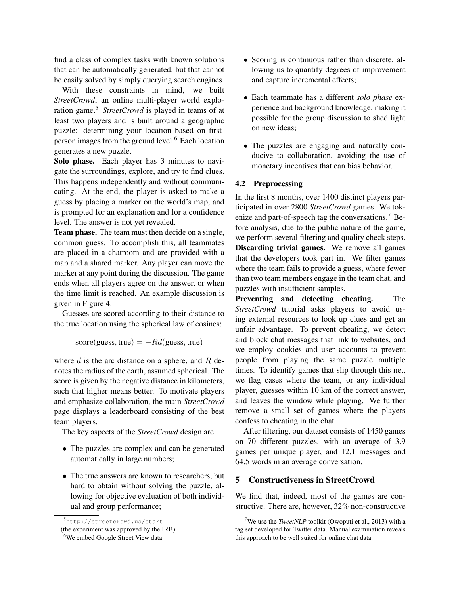find a class of complex tasks with known solutions that can be automatically generated, but that cannot be easily solved by simply querying search engines.

With these constraints in mind, we built *StreetCrowd*, an online multi-player world exploration game.<sup>5</sup> *StreetCrowd* is played in teams of at least two players and is built around a geographic puzzle: determining your location based on firstperson images from the ground level.<sup>6</sup> Each location generates a new puzzle.

Solo phase. Each player has 3 minutes to navigate the surroundings, explore, and try to find clues. This happens independently and without communicating. At the end, the player is asked to make a guess by placing a marker on the world's map, and is prompted for an explanation and for a confidence level. The answer is not yet revealed.

Team phase. The team must then decide on a single, common guess. To accomplish this, all teammates are placed in a chatroom and are provided with a map and a shared marker. Any player can move the marker at any point during the discussion. The game ends when all players agree on the answer, or when the time limit is reached. An example discussion is given in Figure 4.

Guesses are scored according to their distance to the true location using the spherical law of cosines:

 $score(guess, true) = -Rd(guess, true)$ 

where  $d$  is the arc distance on a sphere, and  $R$  denotes the radius of the earth, assumed spherical. The score is given by the negative distance in kilometers, such that higher means better. To motivate players and emphasize collaboration, the main *StreetCrowd* page displays a leaderboard consisting of the best team players.

The key aspects of the *StreetCrowd* design are:

- The puzzles are complex and can be generated automatically in large numbers;
- The true answers are known to researchers, but hard to obtain without solving the puzzle, allowing for objective evaluation of both individual and group performance;
- Scoring is continuous rather than discrete, allowing us to quantify degrees of improvement and capture incremental effects;
- Each teammate has a different *solo phase* experience and background knowledge, making it possible for the group discussion to shed light on new ideas;
- The puzzles are engaging and naturally conducive to collaboration, avoiding the use of monetary incentives that can bias behavior.

## 4.2 Preprocessing

In the first 8 months, over 1400 distinct players participated in over 2800 *StreetCrowd* games. We tokenize and part-of-speech tag the conversations.<sup>7</sup> Before analysis, due to the public nature of the game, we perform several filtering and quality check steps. Discarding trivial games. We remove all games that the developers took part in. We filter games where the team fails to provide a guess, where fewer than two team members engage in the team chat, and puzzles with insufficient samples.

Preventing and detecting cheating. The *StreetCrowd* tutorial asks players to avoid using external resources to look up clues and get an unfair advantage. To prevent cheating, we detect and block chat messages that link to websites, and we employ cookies and user accounts to prevent people from playing the same puzzle multiple times. To identify games that slip through this net, we flag cases where the team, or any individual player, guesses within 10 km of the correct answer, and leaves the window while playing. We further remove a small set of games where the players confess to cheating in the chat.

After filtering, our dataset consists of 1450 games on 70 different puzzles, with an average of 3.9 games per unique player, and 12.1 messages and 64.5 words in an average conversation.

## 5 Constructiveness in StreetCrowd

We find that, indeed, most of the games are constructive. There are, however, 32% non-constructive

<sup>5</sup> http://streetcrowd.us/start

<sup>(</sup>the experiment was approved by the IRB).

<sup>&</sup>lt;sup>6</sup>We embed Google Street View data.

<sup>&</sup>lt;sup>7</sup>We use the *TweetNLP* toolkit (Owoputi et al., 2013) with a tag set developed for Twitter data. Manual examination reveals this approach to be well suited for online chat data.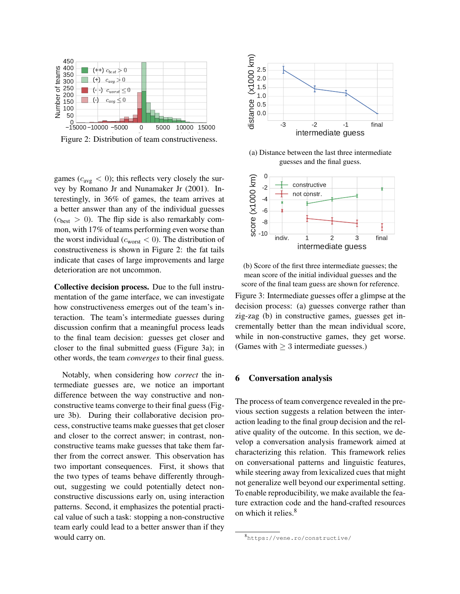

Figure 2: Distribution of team constructiveness.

games ( $c_{\text{avg}} < 0$ ); this reflects very closely the survey by Romano Jr and Nunamaker Jr (2001). Interestingly, in 36% of games, the team arrives at a better answer than any of the individual guesses  $(c<sub>best</sub> > 0)$ . The flip side is also remarkably common, with 17% of teams performing even worse than the worst individual ( $c_{worst}$  < 0). The distribution of constructiveness is shown in Figure 2: the fat tails indicate that cases of large improvements and large deterioration are not uncommon.

Collective decision process. Due to the full instrumentation of the game interface, we can investigate how constructiveness emerges out of the team's interaction. The team's intermediate guesses during discussion confirm that a meaningful process leads to the final team decision: guesses get closer and closer to the final submitted guess (Figure 3a); in other words, the team *converges* to their final guess.

Notably, when considering how *correct* the intermediate guesses are, we notice an important difference between the way constructive and nonconstructive teams converge to their final guess (Figure 3b). During their collaborative decision process, constructive teams make guesses that get closer and closer to the correct answer; in contrast, nonconstructive teams make guesses that take them farther from the correct answer. This observation has two important consequences. First, it shows that the two types of teams behave differently throughout, suggesting we could potentially detect nonconstructive discussions early on, using interaction patterns. Second, it emphasizes the potential practical value of such a task: stopping a non-constructive team early could lead to a better answer than if they would carry on.



(a) Distance between the last three intermediate guesses and the final guess.



(b) Score of the first three intermediate guesses; the mean score of the initial individual guesses and the score of the final team guess are shown for reference.

Figure 3: Intermediate guesses offer a glimpse at the decision process: (a) guesses converge rather than zig-zag (b) in constructive games, guesses get incrementally better than the mean individual score, while in non-constructive games, they get worse. (Games with  $\geq$  3 intermediate guesses.)

#### 6 Conversation analysis

The process of team convergence revealed in the previous section suggests a relation between the interaction leading to the final group decision and the relative quality of the outcome. In this section, we develop a conversation analysis framework aimed at characterizing this relation. This framework relies on conversational patterns and linguistic features, while steering away from lexicalized cues that might not generalize well beyond our experimental setting. To enable reproducibility, we make available the feature extraction code and the hand-crafted resources on which it relies.<sup>8</sup>

<sup>8</sup> https://vene.ro/constructive/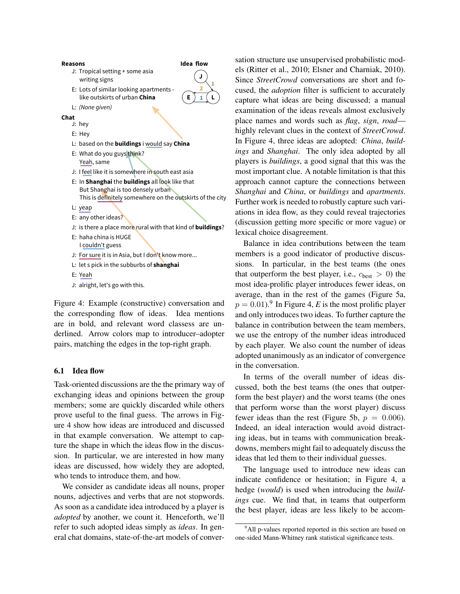

Figure 4: Example (constructive) conversation and the corresponding flow of ideas. Idea mentions are in bold, and relevant word classess are underlined. Arrow colors map to introducer–adopter pairs, matching the edges in the top-right graph.

#### 6.1 Idea flow

Task-oriented discussions are the the primary way of exchanging ideas and opinions between the group members; some are quickly discarded while others prove useful to the final guess. The arrows in Figure 4 show how ideas are introduced and discussed in that example conversation. We attempt to capture the shape in which the ideas flow in the discussion. In particular, we are interested in how many ideas are discussed, how widely they are adopted, who tends to introduce them, and how.

We consider as candidate ideas all nouns, proper nouns, adjectives and verbs that are not stopwords. As soon as a candidate idea introduced by a player is *adopted* by another, we count it. Henceforth, we'll refer to such adopted ideas simply as *ideas*. In general chat domains, state-of-the-art models of conversation structure use unsupervised probabilistic models (Ritter et al., 2010; Elsner and Charniak, 2010). Since *StreetCrowd* conversations are short and focused, the *adoption* filter is sufficient to accurately capture what ideas are being discussed; a manual examination of the ideas reveals almost exclusively place names and words such as *flag*, *sign*, *road* highly relevant clues in the context of *StreetCrowd*. In Figure 4, three ideas are adopted: *China*, *buildings* and *Shanghai*. The only idea adopted by all players is *buildings*, a good signal that this was the most important clue. A notable limitation is that this approach cannot capture the connections between *Shanghai* and *China*, or *buildings* and *apartments*. Further work is needed to robustly capture such variations in idea flow, as they could reveal trajectories (discussion getting more specific or more vague) or lexical choice disagreement.

Balance in idea contributions between the team members is a good indicator of productive discussions. In particular, in the best teams (the ones that outperform the best player, i.e.,  $c_{best} > 0$ ) the most idea-prolific player introduces fewer ideas, on average, than in the rest of the games (Figure 5a,  $p = 0.01$ .<sup>9</sup> In Figure 4, *E* is the most prolific player and only introduces two ideas. To further capture the balance in contribution between the team members, we use the entropy of the number ideas introduced by each player. We also count the number of ideas adopted unanimously as an indicator of convergence in the conversation.

In terms of the overall number of ideas discussed, both the best teams (the ones that outperform the best player) and the worst teams (the ones that perform worse than the worst player) discuss fewer ideas than the rest (Figure 5b,  $p = 0.006$ ). Indeed, an ideal interaction would avoid distracting ideas, but in teams with communication breakdowns, members might fail to adequately discuss the ideas that led them to their individual guesses.

The language used to introduce new ideas can indicate confidence or hesitation; in Figure 4, a hedge (*would*) is used when introducing the *buildings* cue. We find that, in teams that outperform the best player, ideas are less likely to be accom-

<sup>&</sup>lt;sup>9</sup>All p-values reported reported in this section are based on one-sided Mann-Whitney rank statistical significance tests.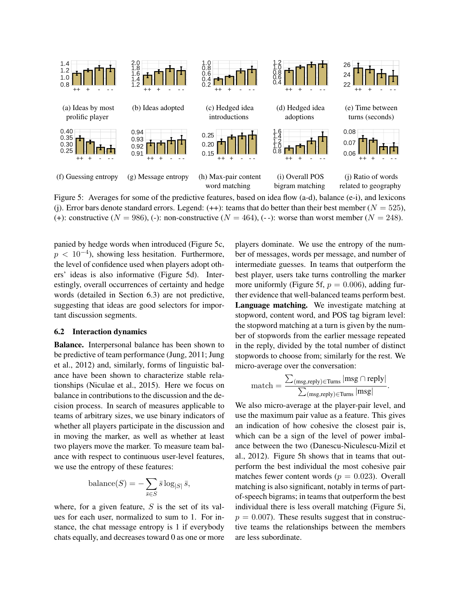

Figure 5: Averages for some of the predictive features, based on idea flow (a-d), balance (e-i), and lexicons (j). Error bars denote standard errors. Legend:  $(++)$ : teams that do better than their best member ( $N = 525$ ), (+): constructive ( $N = 986$ ), (-): non-constructive ( $N = 464$ ), (--): worse than worst member ( $N = 248$ ).

panied by hedge words when introduced (Figure 5c,  $p < 10^{-4}$ ), showing less hesitation. Furthermore, the level of confidence used when players adopt others' ideas is also informative (Figure 5d). Interestingly, overall occurrences of certainty and hedge words (detailed in Section 6.3) are not predictive, suggesting that ideas are good selectors for important discussion segments.

#### 6.2 Interaction dynamics

Balance. Interpersonal balance has been shown to be predictive of team performance (Jung, 2011; Jung et al., 2012) and, similarly, forms of linguistic balance have been shown to characterize stable relationships (Niculae et al., 2015). Here we focus on balance in contributions to the discussion and the decision process. In search of measures applicable to teams of arbitrary sizes, we use binary indicators of whether all players participate in the discussion and in moving the marker, as well as whether at least two players move the marker. To measure team balance with respect to continuous user-level features, we use the entropy of these features:

$$
\text{balance}(S) = -\sum_{\bar{s} \in S} \bar{s} \log_{|S|} \bar{s},
$$

where, for a given feature,  $S$  is the set of its values for each user, normalized to sum to 1. For instance, the chat message entropy is 1 if everybody chats equally, and decreases toward 0 as one or more players dominate. We use the entropy of the number of messages, words per message, and number of intermediate guesses. In teams that outperform the best player, users take turns controlling the marker more uniformly (Figure 5f,  $p = 0.006$ ), adding further evidence that well-balanced teams perform best. Language matching. We investigate matching at stopword, content word, and POS tag bigram level: the stopword matching at a turn is given by the number of stopwords from the earlier message repeated in the reply, divided by the total number of distinct stopwords to choose from; similarly for the rest. We micro-average over the conversation:

$$
\text{match} = \frac{\sum_{(\text{msg, reply}) \in \text{Turns}} |\text{msg} \cap \text{reply}|}{\sum_{(\text{msg, reply}) \in \text{Turns}} |\text{msg}|}.
$$

We also micro-average at the player-pair level, and use the maximum pair value as a feature. This gives an indication of how cohesive the closest pair is, which can be a sign of the level of power imbalance between the two (Danescu-Niculescu-Mizil et al., 2012). Figure 5h shows that in teams that outperform the best individual the most cohesive pair matches fewer content words ( $p = 0.023$ ). Overall matching is also significant, notably in terms of partof-speech bigrams; in teams that outperform the best individual there is less overall matching (Figure 5i,  $p = 0.007$ . These results suggest that in constructive teams the relationships between the members are less subordinate.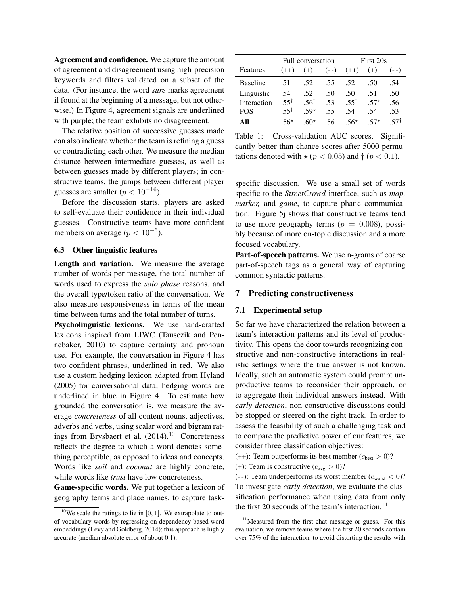Agreement and confidence. We capture the amount of agreement and disagreement using high-precision keywords and filters validated on a subset of the data. (For instance, the word *sure* marks agreement if found at the beginning of a message, but not otherwise.) In Figure 4, agreement signals are underlined with purple; the team exhibits no disagreement.

The relative position of successive guesses made can also indicate whether the team is refining a guess or contradicting each other. We measure the median distance between intermediate guesses, as well as between guesses made by different players; in constructive teams, the jumps between different player guesses are smaller ( $p < 10^{-16}$ ).

Before the discussion starts, players are asked to self-evaluate their confidence in their individual guesses. Constructive teams have more confident members on average ( $p < 10^{-5}$ ).

#### 6.3 Other linguistic features

Length and variation. We measure the average number of words per message, the total number of words used to express the *solo phase* reasons, and the overall type/token ratio of the conversation. We also measure responsiveness in terms of the mean time between turns and the total number of turns.

Psycholinguistic lexicons. We use hand-crafted lexicons inspired from LIWC (Tausczik and Pennebaker, 2010) to capture certainty and pronoun use. For example, the conversation in Figure 4 has two confident phrases, underlined in red. We also use a custom hedging lexicon adapted from Hyland (2005) for conversational data; hedging words are underlined in blue in Figure 4. To estimate how grounded the conversation is, we measure the average *concreteness* of all content nouns, adjectives, adverbs and verbs, using scalar word and bigram ratings from Brysbaert et al. (2014).<sup>10</sup> Concreteness reflects the degree to which a word denotes something perceptible, as opposed to ideas and concepts. Words like *soil* and *coconut* are highly concrete, while words like *trust* have low concreteness.

Game-specific words. We put together a lexicon of geography terms and place names, to capture task-

|                 | Full conversation |                  |         | First 20s           |       |         |
|-----------------|-------------------|------------------|---------|---------------------|-------|---------|
| Features        | $(++)$            |                  |         | $(+)$ $(--)$ $(++)$ | $(+)$ | $(- -)$ |
| <b>Baseline</b> |                   | $.51 \qquad .52$ | .55 .52 |                     | .50   | .54     |
| Linguistic      | .54               | .52              | .50     | .50                 | .51   | .50     |
| Interaction     | 55†               | 56†              | -53     | 55†                 | $57*$ | .56     |
| <b>POS</b>      | $55^{\dagger}$    | $59*$            | -55     | -54                 | -54   | .53     |
| AII             | 56*               | $60*$            | .56     | $.56*$              | $57*$ |         |

Table 1: Cross-validation AUC scores. Significantly better than chance scores after 5000 permutations denoted with  $\star (p < 0.05)$  and  $\dagger (p < 0.1)$ .

specific discussion. We use a small set of words specific to the *StreetCrowd* interface, such as *map, marker,* and *game*, to capture phatic communication. Figure 5j shows that constructive teams tend to use more geography terms ( $p = 0.008$ ), possibly because of more on-topic discussion and a more focused vocabulary.

Part-of-speech patterns. We use n-grams of coarse part-of-speech tags as a general way of capturing common syntactic patterns.

#### 7 Predicting constructiveness

#### 7.1 Experimental setup

So far we have characterized the relation between a team's interaction patterns and its level of productivity. This opens the door towards recognizing constructive and non-constructive interactions in realistic settings where the true answer is not known. Ideally, such an automatic system could prompt unproductive teams to reconsider their approach, or to aggregate their individual answers instead. With *early detection*, non-constructive discussions could be stopped or steered on the right track. In order to assess the feasibility of such a challenging task and to compare the predictive power of our features, we consider three classification objectives:

(++): Team outperforms its best member  $(c_{best} > 0)$ ? (+): Team is constructive  $(c_{avg} > 0)$ ?

(--): Team underperforms its worst member  $(c_{worst} < 0)$ ? To investigate *early detection*, we evaluate the classification performance when using data from only the first 20 seconds of the team's interaction.<sup>11</sup>

<sup>&</sup>lt;sup>10</sup>We scale the ratings to lie in [0, 1]. We extrapolate to outof-vocabulary words by regressing on dependency-based word embeddings (Levy and Goldberg, 2014); this approach is highly accurate (median absolute error of about 0.1).

<sup>&</sup>lt;sup>11</sup>Measured from the first chat message or guess. For this evaluation, we remove teams where the first 20 seconds contain over 75% of the interaction, to avoid distorting the results with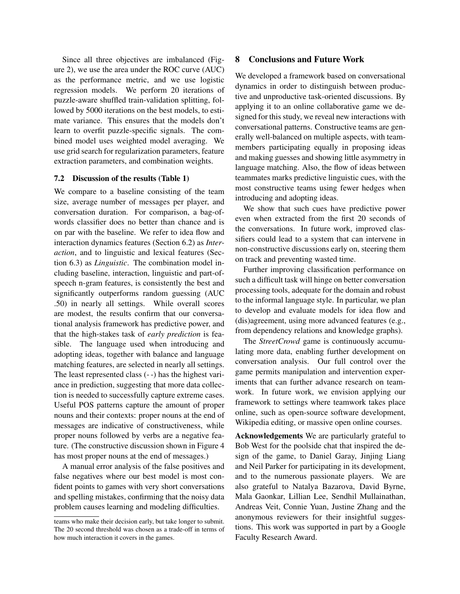Since all three objectives are imbalanced (Figure 2), we use the area under the ROC curve (AUC) as the performance metric, and we use logistic regression models. We perform 20 iterations of puzzle-aware shuffled train-validation splitting, followed by 5000 iterations on the best models, to estimate variance. This ensures that the models don't learn to overfit puzzle-specific signals. The combined model uses weighted model averaging. We use grid search for regularization parameters, feature extraction parameters, and combination weights.

#### 7.2 Discussion of the results (Table 1)

We compare to a baseline consisting of the team size, average number of messages per player, and conversation duration. For comparison, a bag-ofwords classifier does no better than chance and is on par with the baseline. We refer to idea flow and interaction dynamics features (Section 6.2) as *Interaction*, and to linguistic and lexical features (Section 6.3) as *Linguistic*. The combination model including baseline, interaction, linguistic and part-ofspeech n-gram features, is consistently the best and significantly outperforms random guessing (AUC .50) in nearly all settings. While overall scores are modest, the results confirm that our conversational analysis framework has predictive power, and that the high-stakes task of *early prediction* is feasible. The language used when introducing and adopting ideas, together with balance and language matching features, are selected in nearly all settings. The least represented class (- -) has the highest variance in prediction, suggesting that more data collection is needed to successfully capture extreme cases. Useful POS patterns capture the amount of proper nouns and their contexts: proper nouns at the end of messages are indicative of constructiveness, while proper nouns followed by verbs are a negative feature. (The constructive discussion shown in Figure 4 has most proper nouns at the end of messages.)

A manual error analysis of the false positives and false negatives where our best model is most confident points to games with very short conversations and spelling mistakes, confirming that the noisy data problem causes learning and modeling difficulties.

#### 8 Conclusions and Future Work

We developed a framework based on conversational dynamics in order to distinguish between productive and unproductive task-oriented discussions. By applying it to an online collaborative game we designed for this study, we reveal new interactions with conversational patterns. Constructive teams are generally well-balanced on multiple aspects, with teammembers participating equally in proposing ideas and making guesses and showing little asymmetry in language matching. Also, the flow of ideas between teammates marks predictive linguistic cues, with the most constructive teams using fewer hedges when introducing and adopting ideas.

We show that such cues have predictive power even when extracted from the first 20 seconds of the conversations. In future work, improved classifiers could lead to a system that can intervene in non-constructive discussions early on, steering them on track and preventing wasted time.

Further improving classification performance on such a difficult task will hinge on better conversation processing tools, adequate for the domain and robust to the informal language style. In particular, we plan to develop and evaluate models for idea flow and (dis)agreement, using more advanced features (e.g., from dependency relations and knowledge graphs).

The *StreetCrowd* game is continuously accumulating more data, enabling further development on conversation analysis. Our full control over the game permits manipulation and intervention experiments that can further advance research on teamwork. In future work, we envision applying our framework to settings where teamwork takes place online, such as open-source software development, Wikipedia editing, or massive open online courses.

Acknowledgements We are particularly grateful to Bob West for the poolside chat that inspired the design of the game, to Daniel Garay, Jinjing Liang and Neil Parker for participating in its development, and to the numerous passionate players. We are also grateful to Natalya Bazarova, David Byrne, Mala Gaonkar, Lillian Lee, Sendhil Mullainathan, Andreas Veit, Connie Yuan, Justine Zhang and the anonymous reviewers for their insightful suggestions. This work was supported in part by a Google Faculty Research Award.

teams who make their decision early, but take longer to submit. The 20 second threshold was chosen as a trade-off in terms of how much interaction it covers in the games.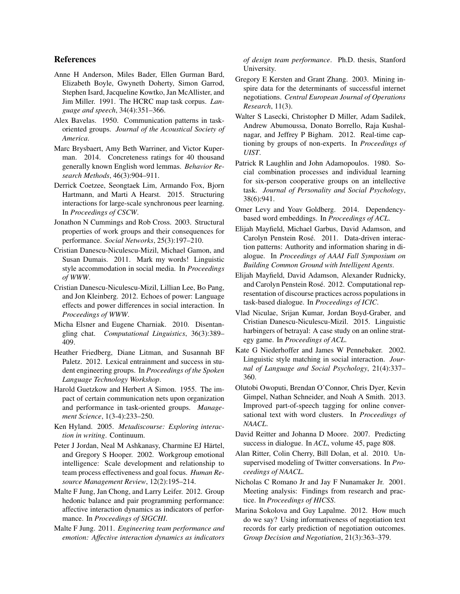## References

- Anne H Anderson, Miles Bader, Ellen Gurman Bard, Elizabeth Boyle, Gwyneth Doherty, Simon Garrod, Stephen Isard, Jacqueline Kowtko, Jan McAllister, and Jim Miller. 1991. The HCRC map task corpus. *Language and speech*, 34(4):351–366.
- Alex Bavelas. 1950. Communication patterns in taskoriented groups. *Journal of the Acoustical Society of America*.
- Marc Brysbaert, Amy Beth Warriner, and Victor Kuperman. 2014. Concreteness ratings for 40 thousand generally known English word lemmas. *Behavior Research Methods*, 46(3):904–911.
- Derrick Coetzee, Seongtaek Lim, Armando Fox, Bjorn Hartmann, and Marti A Hearst. 2015. Structuring interactions for large-scale synchronous peer learning. In *Proceedings of CSCW*.
- Jonathon N Cummings and Rob Cross. 2003. Structural properties of work groups and their consequences for performance. *Social Networks*, 25(3):197–210.
- Cristian Danescu-Niculescu-Mizil, Michael Gamon, and Susan Dumais. 2011. Mark my words! Linguistic style accommodation in social media. In *Proceedings of WWW*.
- Cristian Danescu-Niculescu-Mizil, Lillian Lee, Bo Pang, and Jon Kleinberg. 2012. Echoes of power: Language effects and power differences in social interaction. In *Proceedings of WWW*.
- Micha Elsner and Eugene Charniak. 2010. Disentangling chat. *Computational Linguistics*, 36(3):389– 409.
- Heather Friedberg, Diane Litman, and Susannah BF Paletz. 2012. Lexical entrainment and success in student engineering groups. In *Proceedings of the Spoken Language Technology Workshop*.
- Harold Guetzkow and Herbert A Simon. 1955. The impact of certain communication nets upon organization and performance in task-oriented groups. *Management Science*, 1(3-4):233–250.
- Ken Hyland. 2005. *Metadiscourse: Exploring interaction in writing*. Continuum.
- Peter J Jordan, Neal M Ashkanasy, Charmine EJ Härtel, and Gregory S Hooper. 2002. Workgroup emotional intelligence: Scale development and relationship to team process effectiveness and goal focus. *Human Resource Management Review*, 12(2):195–214.
- Malte F Jung, Jan Chong, and Larry Leifer. 2012. Group hedonic balance and pair programming performance: affective interaction dynamics as indicators of performance. In *Proceedings of SIGCHI*.
- Malte F Jung. 2011. *Engineering team performance and emotion: Affective interaction dynamics as indicators*

*of design team performance*. Ph.D. thesis, Stanford University.

- Gregory E Kersten and Grant Zhang. 2003. Mining inspire data for the determinants of successful internet negotiations. *Central European Journal of Operations Research*, 11(3).
- Walter S Lasecki, Christopher D Miller, Adam Sadilek, Andrew Abumoussa, Donato Borrello, Raja Kushalnagar, and Jeffrey P Bigham. 2012. Real-time captioning by groups of non-experts. In *Proceedings of UIST*.
- Patrick R Laughlin and John Adamopoulos. 1980. Social combination processes and individual learning for six-person cooperative groups on an intellective task. *Journal of Personality and Social Psychology*, 38(6):941.
- Omer Levy and Yoav Goldberg. 2014. Dependencybased word embeddings. In *Proceedings of ACL*.
- Elijah Mayfield, Michael Garbus, David Adamson, and Carolyn Penstein Rosé. 2011. Data-driven interaction patterns: Authority and information sharing in dialogue. In *Proceedings of AAAI Fall Symposium on Building Common Ground with Intelligent Agents*.
- Elijah Mayfield, David Adamson, Alexander Rudnicky, and Carolyn Penstein Rosé. 2012. Computational representation of discourse practices across populations in task-based dialogue. In *Proceedings of ICIC*.
- Vlad Niculae, Srijan Kumar, Jordan Boyd-Graber, and Cristian Danescu-Niculescu-Mizil. 2015. Linguistic harbingers of betrayal: A case study on an online strategy game. In *Proceedings of ACL*.
- Kate G Niederhoffer and James W Pennebaker. 2002. Linguistic style matching in social interaction. *Journal of Language and Social Psychology*, 21(4):337– 360.
- Olutobi Owoputi, Brendan O'Connor, Chris Dyer, Kevin Gimpel, Nathan Schneider, and Noah A Smith. 2013. Improved part-of-speech tagging for online conversational text with word clusters. In *Proceedings of NAACL*.
- David Reitter and Johanna D Moore. 2007. Predicting success in dialogue. In *ACL*, volume 45, page 808.
- Alan Ritter, Colin Cherry, Bill Dolan, et al. 2010. Unsupervised modeling of Twitter conversations. In *Proceedings of NAACL*.
- Nicholas C Romano Jr and Jay F Nunamaker Jr. 2001. Meeting analysis: Findings from research and practice. In *Proceedings of HICSS*.
- Marina Sokolova and Guy Lapalme. 2012. How much do we say? Using informativeness of negotiation text records for early prediction of negotiation outcomes. *Group Decision and Negotiation*, 21(3):363–379.